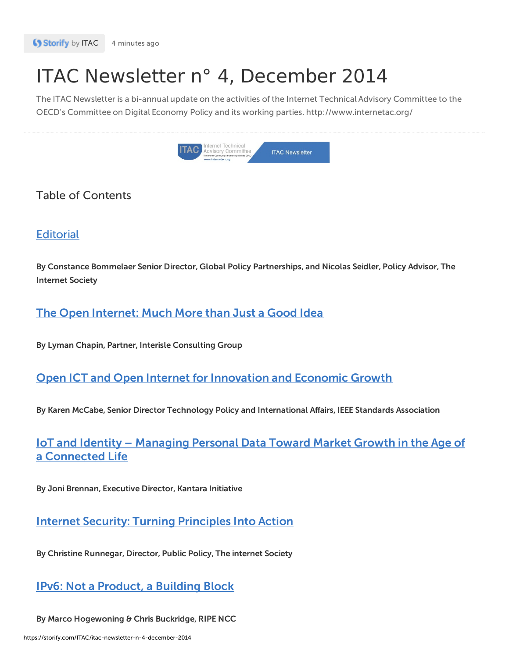# ITAC Newsletter n° 4, December 2014

The ITAC Newsletter is a bi-annual update on the activities of the Internet Technical Advisory Committee to the OECD's Committee on Digital Economy Policy and its working parties. http://www.internetac.org/



# Table of Contents

# **[Editorial](https://www.internetac.org/?p=2242)**

By Constance Bommelaer Senior Director, Global Policy Partnerships, and Nicolas Seidler, Policy Advisor, The Internet Society

# The Open [Internet:](https://www.internetac.org/?p=2245) Much More than Just a Good Idea

By Lyman Chapin, Partner, Interisle Consulting Group

# Open ICT and Open Internet for [Innovation](https://www.internetac.org/?p=2252) and Economic Growth

By Karen McCabe, Senior Director Technology Policy and International Affairs, IEEE Standards Association

# IoT and Identity – Managing Personal Data Toward Market Growth in the Age of a [Connected](https://www.internetac.org/?p=2260) Life

By Joni Brennan, Executive Director, Kantara Initiative

# **Internet Security: Turning [Principles](https://www.internetac.org/?p=2254) Into Action**

By Christine Runnegar, Director, Public Policy, The internet Society

# IPv6: Not a [Product,](https://www.internetac.org/?p=2248) a Building Block

By Marco Hogewoning & Chris Buckridge, RIPE NCC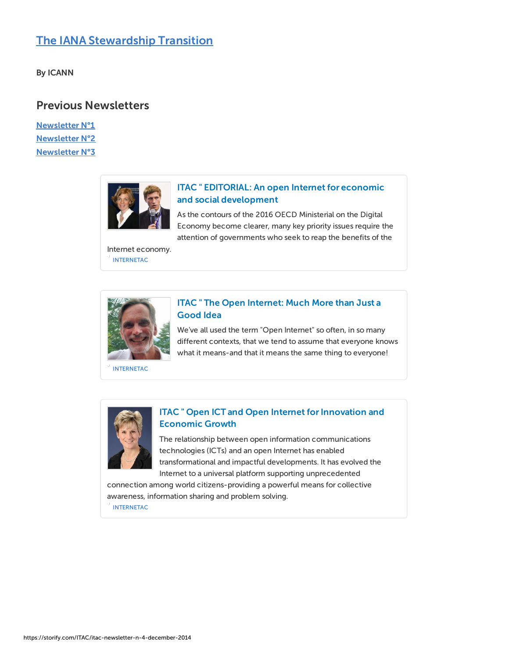# The IANA [Stewardship](https://www.internetac.org/?p=2286) Transition

By ICANN

## Previous Newsletters

[Newsletter](https://www.internetac.org/?p=1599) N°1 [Newsletter](https://www.internetac.org/?p=1781) N°2 [Newsletter](https://storify.com/ITAC/itac-newsletter-n-3-june-2014) N°3



## ITAC " EDITORIAL: An open Internet for economic and social [development](https://www.internetac.org/archives/2242)

As the contours of the 2016 OECD Ministerial on the Digital Economy become clearer, many key priority issues require the attention of governments who seek to reap the benefits of the

[INTERNETAC](https://www.internetac.org) Internet economy.



## ITAC " The Open [Internet:](https://www.internetac.org/?p=2245) Much More than Just a Good Idea

We've all used the term "Open Internet" so often, in so many different contexts, that we tend to assume that everyone knows what it means-and that it means the same thing to everyone!

[INTERNETAC](https://www.internetac.org)



## ITAC " Open ICT and Open Internet for Innovation and Economic Growth

The relationship between open information communications technologies (ICTs) and an open Internet has enabled transformational and impactful developments. It has evolved the Internet to a universal platform supporting unprecedented

[INTERNETAC](https://www.internetac.org) connection among world citizens-providing a powerful means for collective awareness, information sharing and problem solving.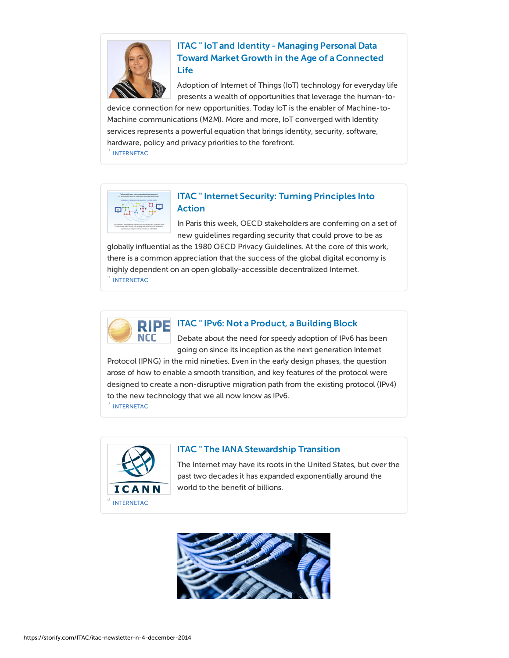

## ITAC " IoT and Identity - Managing Personal Data Toward Market Growth in the Age of a [Connected](https://www.internetac.org/archives/2260) Life

Adoption of Internet of Things (IoT) technology for everyday life presents a wealth of opportunities that leverage the human-to-

device connection for new opportunities. Today IoT is the enabler of Machine-to-Machine communications (M2M). More and more, IoT converged with Identity services represents a powerful equation that brings identity, security, software, hardware, policy and privacy priorities to the forefront.

[INTERNETAC](https://www.internetac.org)



## ITAC " Internet Security: Turning [Principles](https://www.internetac.org/?p=2254) Into Action

In Paris this week, OECD stakeholders are conferring on a set of new guidelines regarding security that could prove to be as

globally influential as the 1980 OECD Privacy Guidelines. At the core of this work, there is a common appreciation that the success of the global digital economy is highly dependent on an open globally-accessible decentralized Internet.

[INTERNETAC](https://www.internetac.org)



### ITAC " IPv6: Not a [Product,](https://www.internetac.org/2014/12/08/ipv6-not-a-product-a-building-block/) a Building Block

Debate about the need for speedy adoption of IPv6 has been going on since its inception as the next generation Internet

Protocol (IPNG) in the mid nineties. Even in the early design phases, the question arose of how to enable a smooth transition, and key features of the protocol were designed to create a non-disruptive migration path from the existing protocol (IPv4) to the new technology that we all now know as IPv6.

[INTERNETAC](https://www.internetac.org)



#### ITAC " The IANA [Stewardship](https://www.internetac.org/?p=2286) Transition

The Internet may have its roots in the United States, but over the past two decades it has expanded exponentially around the world to the benefit of billions.